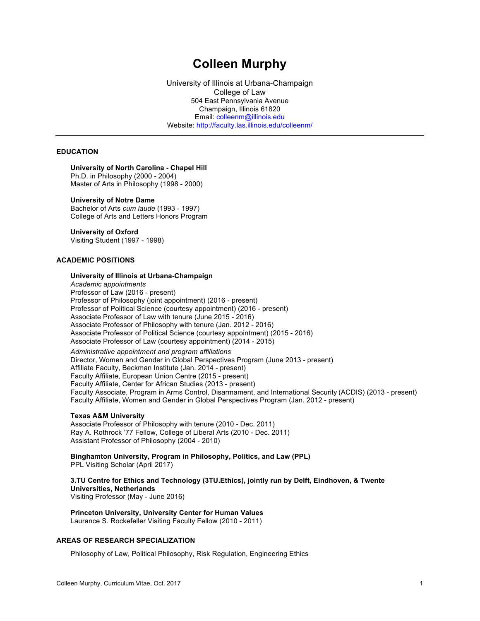# **Colleen Murphy**

University of Illinois at Urbana-Champaign College of Law 504 East Pennsylvania Avenue Champaign, Illinois 61820 Email: colleenm@illinois.edu Website: http://faculty.las.illinois.edu/colleenm/

# **EDUCATION**

## **University of North Carolina - Chapel Hill**

Ph.D. in Philosophy (2000 - 2004) Master of Arts in Philosophy (1998 - 2000)

#### **University of Notre Dame**

Bachelor of Arts *cum laude* (1993 - 1997) College of Arts and Letters Honors Program

# **University of Oxford**

Visiting Student (1997 - 1998)

## **ACADEMIC POSITIONS**

# **University of Illinois at Urbana-Champaign**

*Academic appointments* Professor of Law (2016 - present) Professor of Philosophy (joint appointment) (2016 - present) Professor of Political Science (courtesy appointment) (2016 - present) Associate Professor of Law with tenure (June 2015 - 2016) Associate Professor of Philosophy with tenure (Jan. 2012 - 2016) Associate Professor of Political Science (courtesy appointment) (2015 - 2016) Associate Professor of Law (courtesy appointment) (2014 - 2015) *Administrative appointment and program affiliations*

Director, Women and Gender in Global Perspectives Program (June 2013 - present) Affiliate Faculty, Beckman Institute (Jan. 2014 - present) Faculty Affiliate, European Union Centre (2015 - present) Faculty Affiliate, Center for African Studies (2013 - present) Faculty Associate, Program in Arms Control, Disarmament, and International Security (ACDIS) (2013 - present) Faculty Affiliate, Women and Gender in Global Perspectives Program (Jan. 2012 - present)

#### **Texas A&M University**

Associate Professor of Philosophy with tenure (2010 - Dec. 2011) Ray A. Rothrock '77 Fellow, College of Liberal Arts (2010 - Dec. 2011) Assistant Professor of Philosophy (2004 - 2010)

**Binghamton University, Program in Philosophy, Politics, and Law (PPL)** PPL Visiting Scholar (April 2017)

**3.TU Centre for Ethics and Technology (3TU.Ethics), jointly run by Delft, Eindhoven, & Twente Universities, Netherlands** Visiting Professor (May - June 2016)

**Princeton University, University Center for Human Values** Laurance S. Rockefeller Visiting Faculty Fellow (2010 - 2011)

## **AREAS OF RESEARCH SPECIALIZATION**

Philosophy of Law, Political Philosophy, Risk Regulation, Engineering Ethics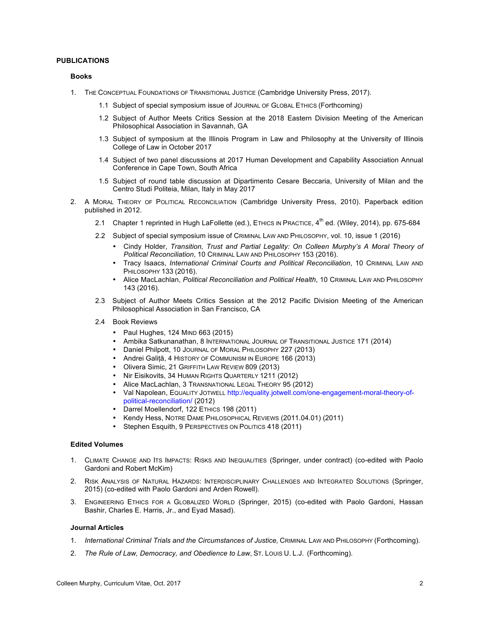## **PUBLICATIONS**

## **Books**

- 1. THE CONCEPTUAL FOUNDATIONS OF TRANSITIONAL JUSTICE (Cambridge University Press, 2017).
	- 1.1 Subject of special symposium issue of JOURNAL OF GLOBAL ETHICS (Forthcoming)
	- 1.2 Subject of Author Meets Critics Session at the 2018 Eastern Division Meeting of the American Philosophical Association in Savannah, GA
	- 1.3 Subject of symposium at the Illinois Program in Law and Philosophy at the University of Illinois College of Law in October 2017
	- 1.4 Subject of two panel discussions at 2017 Human Development and Capability Association Annual Conference in Cape Town, South Africa
	- 1.5 Subject of round table discussion at Dipartimento Cesare Beccaria, University of Milan and the Centro Studi Politeia, Milan, Italy in May 2017
- 2. A MORAL THEORY OF POLITICAL RECONCILIATION (Cambridge University Press, 2010). Paperback edition published in 2012.
	- 2.1 Chapter 1 reprinted in Hugh LaFollette (ed.), ETHICS IN PRACTICE, 4<sup>th</sup> ed. (Wiley, 2014), pp. 675-684
	- 2.2 Subject of special symposium issue of CRIMINAL LAW AND PHILOSOPHY, vol. 10, issue 1 (2016)
		- Cindy Holder, *Transition, Trust and Partial Legality: On Colleen Murphy's A Moral Theory of Political Reconciliation*, 10 CRIMINAL LAW AND PHILOSOPHY 153 (2016).
		- Tracy Isaacs, *International Criminal Courts and Political Reconciliation*, 10 CRIMINAL LAW AND PHILOSOPHY 133 (2016).
		- Alice MacLachlan, *Political Reconciliation and Political Health*, 10 CRIMINAL LAW AND PHILOSOPHY 143 (2016).
	- 2.3 Subject of Author Meets Critics Session at the 2012 Pacific Division Meeting of the American Philosophical Association in San Francisco, CA
	- 2.4 Book Reviews
		- Paul Hughes, 124 MIND 663 (2015)
		- Ambika Satkunanathan, 8 INTERNATIONAL JOURNAL OF TRANSITIONAL JUSTICE 171 (2014)
		- Daniel Philpott, 10 JOURNAL OF MORAL PHILOSOPHY 227 (2013)
		- Andrei Galiță, 4 HISTORY OF COMMUNISM IN EUROPE 166 (2013)
		- Olivera Simic, 21 GRIFFITH LAW REVIEW 809 (2013)
		- Nir Eisikovits, 34 HUMAN RIGHTS QUARTERLY 1211 (2012)
		- Alice MacLachlan, 3 TRANSNATIONAL LEGAL THEORY 95 (2012)
		- Val Napolean, EQUALITY JOTWELL http://equality.jotwell.com/one-engagement-moral-theory-ofpolitical-reconciliation/ (2012)
		- Darrel Moellendorf, 122 ETHICS 198 (2011)<br>• Kendy Hess, NOTRE DAME PHILOSOPHICAL R
		- Kendy Hess, NOTRE DAME PHILOSOPHICAL REVIEWS (2011.04.01) (2011)
		- Stephen Esquith, 9 PERSPECTIVES ON POLITICS 418 (2011)

# **Edited Volumes**

- 1. CLIMATE CHANGE AND ITS IMPACTS: RISKS AND INEQUALITIES (Springer, under contract) (co-edited with Paolo Gardoni and Robert McKim)
- 2. RISK ANALYSIS OF NATURAL HAZARDS: INTERDISCIPLINARY CHALLENGES AND INTEGRATED SOLUTIONS (Springer, 2015) (co-edited with Paolo Gardoni and Arden Rowell).
- 3. ENGINEERING ETHICS FOR A GLOBALIZED WORLD (Springer, 2015) (co-edited with Paolo Gardoni, Hassan Bashir, Charles E. Harris, Jr., and Eyad Masad).

#### **Journal Articles**

- 1. *International Criminal Trials and the Circumstances of Justice,* CRIMINAL LAW AND PHILOSOPHY (Forthcoming).
- 2. *The Rule of Law, Democracy, and Obedience to Law*, ST. LOUIS U. L.J. (Forthcoming).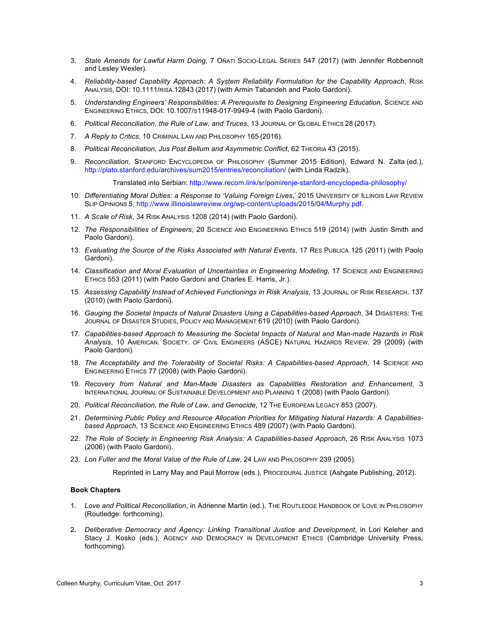- 3. *State Amends for Lawful Harm Doing*, 7 OÑATI SOCIO-LEGAL SERIES 547 (2017) (with Jennifer Robbennolt and Lesley Wexler).
- 4. *Reliability-based Capability Approach: A System Reliability Formulation for the Capability Approach*, RISK ANALYSIS, DOI: 10.1111/RISA.12843 (2017) (with Armin Tabandeh and Paolo Gardoni).
- 5. *Understanding Engineers' Responsibilities: A Prerequisite to Designing Engineering Education*, SCIENCE AND ENGINEERING ETHICS, DOI: 10.1007/S11948-017-9949-4 (with Paolo Gardoni).
- 6. *Political Reconciliation, the Rule of Law, and Truces*, 13 JOURNAL OF GLOBAL ETHICS 28 (2017).
- 7. *A Reply to Critics*, 10 CRIMINAL LAW AND PHILOSOPHY 165 (2016).
- 8. *Political Reconciliation, Jus Post Bellum and Asymmetric Conflict*, 62 THEORIA 43 (2015).
- 9. *Reconciliation*, STANFORD ENCYCLOPEDIA OF PHILOSOPHY (Summer 2015 Edition), Edward N. Zalta (ed.), http://plato.stanford.edu/archives/sum2015/entries/reconciliation/ (with Linda Radzik).

Translated into Serbian: http://www.recom.link/sr/pomirenje-stanford-encyclopedia-philosophy/

- 10. *Differentiating Moral Duties: a Response to 'Valuing Foreign Lives*,' 2015 UNIVERSITY OF ILLINOIS LAW REVIEW SLIP OPINIONS 5, http://www.illinoislawreview.org/wp-content/uploads/2015/04/Murphy.pdf.
- 11. *A Scale of Risk*, 34 RISK ANALYSIS 1208 (2014) (with Paolo Gardoni)*.*
- 12. *The Responsibilities of Engineers*, 20 SCIENCE AND ENGINEERING ETHICS 519 (2014) (with Justin Smith and Paolo Gardoni).
- 13. *Evaluating the Source of the Risks Associated with Natural Events*, 17 RES PUBLICA 125 (2011) (with Paolo Gardoni).
- 14. *Classification and Moral Evaluation of Uncertainties in Engineering Modeling*, 17 SCIENCE AND ENGINEERING ETHICS 553 (2011) (with Paolo Gardoni and Charles E. Harris, Jr.).
- 15. *Assessing Capability Instead of Achieved Functionings in Risk Analysis*, 13 JOURNAL OF RISK RESEARCH. 137 (2010) (with Paolo Gardoni).
- 16. *Gauging the Societal Impacts of Natural Disasters Using a Capabilities-based Approach*, 34 DISASTERS: THE JOURNAL OF DISASTER STUDIES, POLICY AND MANAGEMENT 619 (2010) (with Paolo Gardoni).
- 17. *Capabilities-based Approach to Measuring the Societal Impacts of Natural and Man-made Hazards in Risk Analysis*, 10 AMERICAN. SOCIETY. OF CIVIL ENGINEERS (ASCE) NATURAL HAZARDS REVIEW. 29 (2009) (with Paolo Gardoni).
- 18. *The Acceptability and the Tolerability of Societal Risks: A Capabilities-based Approach*, 14 SCIENCE AND ENGINEERING ETHICS 77 (2008) (with Paolo Gardoni).
- 19. *Recovery from Natural and Man-Made Disasters as Capabilities Restoration and Enhancement*, 3 INTERNATIONAL JOURNAL OF SUSTAINABLE DEVELOPMENT AND PLANNING 1 (2008) (with Paolo Gardoni).
- 20. *Political Reconciliation, the Rule of Law, and Genocide*, 12 THE EUROPEAN LEGACY 853 (2007).
- 21. *Determining Public Policy and Resource Allocation Priorities for Mitigating Natural Hazards: A Capabilitiesbased Approach*, 13 SCIENCE AND ENGINEERING ETHICS 489 (2007) (with Paolo Gardoni).
- 22. *The Role of Society in Engineering Risk Analysis: A Capabilities-based Approach*, 26 RISK ANALYSIS 1073 (2006) (with Paolo Gardoni).
- 23. *Lon Fuller and the Moral Value of the Rule of Law*, 24 LAW AND PHILOSOPHY 239 (2005).

Reprinted in Larry May and Paul Morrow (eds.), PROCEDURAL JUSTICE (Ashgate Publishing, 2012).

#### **Book Chapters**

- 1. *Love and Political Reconciliation*, in Adrienne Martin (ed.), THE ROUTLEDGE HANDBOOK OF LOVE IN PHILOSOPHY (Routledge: forthcoming).
- 2. *Deliberative Democracy and Agency: Linking Transitional Justice and Development*, in Lori Keleher and Stacy J. Kosko (eds.), AGENCY AND DEMOCRACY IN DEVELOPMENT ETHICS (Cambridge University Press, forthcoming).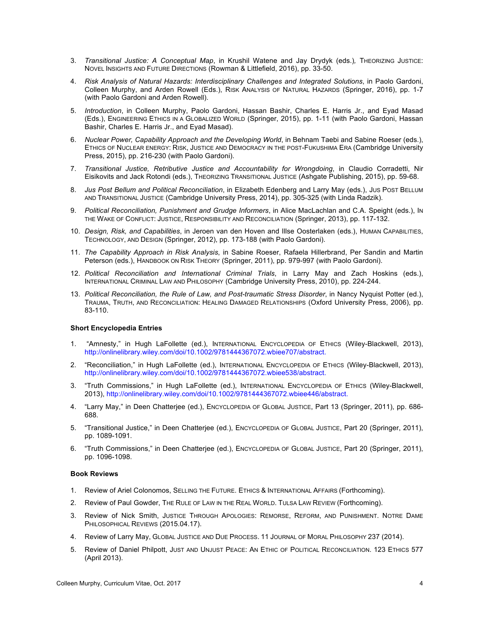- 3. *Transitional Justice: A Conceptual Map*, in Krushil Watene and Jay Drydyk (eds.)*,* THEORIZING JUSTICE: NOVEL INSIGHTS AND FUTURE DIRECTIONS (Rowman & Littlefield, 2016), pp. 33-50.
- 4. *Risk Analysis of Natural Hazards: Interdisciplinary Challenges and Integrated Solutions*, in Paolo Gardoni, Colleen Murphy, and Arden Rowell (Eds.), RISK ANALYSIS OF NATURAL HAZARDS (Springer, 2016), pp. 1-7 (with Paolo Gardoni and Arden Rowell).
- 5. *Introduction*, in Colleen Murphy, Paolo Gardoni, Hassan Bashir, Charles E. Harris Jr., and Eyad Masad (Eds.), ENGINEERING ETHICS IN A GLOBALIZED WORLD (Springer, 2015), pp. 1-11 (with Paolo Gardoni, Hassan Bashir, Charles E. Harris Jr., and Eyad Masad).
- 6. *Nuclear Power, Capability Approach and the Developing World*, in Behnam Taebi and Sabine Roeser (eds.), ETHICS OF NUCLEAR ENERGY: RISK, JUSTICE AND DEMOCRACY IN THE POST-FUKUSHIMA ERA (Cambridge University Press, 2015), pp. 216-230 (with Paolo Gardoni).
- 7. *Transitional Justice, Retributive Justice and Accountability for Wrongdoing*, in Claudio Corradetti, Nir Eisikovits and Jack Rotondi (eds.), THEORIZING TRANSITIONAL JUSTICE (Ashgate Publishing, 2015), pp. 59-68.
- 8. *Jus Post Bellum and Political Reconciliation*, in Elizabeth Edenberg and Larry May (eds.), JUS POST BELLUM AND TRANSITIONAL JUSTICE (Cambridge University Press, 2014), pp. 305-325 (with Linda Radzik).
- 9. *Political Reconciliation, Punishment and Grudge Informers*, in Alice MacLachlan and C.A. Speight (eds.), IN THE WAKE OF CONFLICT: JUSTICE, RESPONSIBILITY AND RECONCILIATION (Springer, 2013), pp. 117-132.
- 10. *Design, Risk, and Capabilities*, in Jeroen van den Hoven and Illse Oosterlaken (eds.), HUMAN CAPABILITIES, TECHNOLOGY, AND DESIGN (Springer, 2012), pp. 173-188 (with Paolo Gardoni).
- 11. *The Capability Approach in Risk Analysis*, in Sabine Roeser, Rafaela Hillerbrand, Per Sandin and Martin Peterson (eds.), HANDBOOK ON RISK THEORY (Springer, 2011), pp. 979-997 (with Paolo Gardoni).
- 12. *Political Reconciliation and International Criminal Trials*, in Larry May and Zach Hoskins (eds.), INTERNATIONAL CRIMINAL LAW AND PHILOSOPHY (Cambridge University Press, 2010), pp. 224-244.
- 13. *Political Reconciliation, the Rule of Law, and Post-traumatic Stress Disorder*, in Nancy Nyquist Potter (ed.), TRAUMA, TRUTH, AND RECONCILIATION: HEALING DAMAGED RELATIONSHIPS (Oxford University Press, 2006), pp. 83-110.

## **Short Encyclopedia Entries**

- 1. "Amnesty," in Hugh LaFollette (ed.), INTERNATIONAL ENCYCLOPEDIA OF ETHICS (Wiley-Blackwell, 2013), http://onlinelibrary.wiley.com/doi/10.1002/9781444367072.wbiee707/abstract.
- 2. "Reconciliation," in Hugh LaFollette (ed.), INTERNATIONAL ENCYCLOPEDIA OF ETHICS (Wiley-Blackwell, 2013), http://onlinelibrary.wiley.com/doi/10.1002/9781444367072.wbiee538/abstract.
- 3. "Truth Commissions," in Hugh LaFollette (ed.), INTERNATIONAL ENCYCLOPEDIA OF ETHICS (Wiley-Blackwell, 2013), http://onlinelibrary.wiley.com/doi/10.1002/9781444367072.wbiee446/abstract.
- 4. "Larry May," in Deen Chatterjee (ed.), ENCYCLOPEDIA OF GLOBAL JUSTICE, Part 13 (Springer, 2011), pp. 686- 688.
- 5. "Transitional Justice," in Deen Chatterjee (ed.), ENCYCLOPEDIA OF GLOBAL JUSTICE, Part 20 (Springer, 2011), pp. 1089-1091.
- 6. "Truth Commissions," in Deen Chatterjee (ed.), ENCYCLOPEDIA OF GLOBAL JUSTICE, Part 20 (Springer, 2011), pp. 1096-1098.

#### **Book Reviews**

- 1. Review of Ariel Colonomos, SELLING THE FUTURE. ETHICS & INTERNATIONAL AFFAIRS (Forthcoming).
- 2. Review of Paul Gowder, THE RULE OF LAW IN THE REAL WORLD. TULSA LAW REVIEW (Forthcoming).
- 3. Review of Nick Smith, JUSTICE THROUGH APOLOGIES: REMORSE, REFORM, AND PUNISHMENT. NOTRE DAME PHILOSOPHICAL REVIEWS (2015.04.17).
- 4. Review of Larry May, GLOBAL JUSTICE AND DUE PROCESS. 11 JOURNAL OF MORAL PHILOSOPHY 237 (2014).
- 5. Review of Daniel Philpott, JUST AND UNJUST PEACE: AN ETHIC OF POLITICAL RECONCILIATION. 123 ETHICS 577 (April 2013).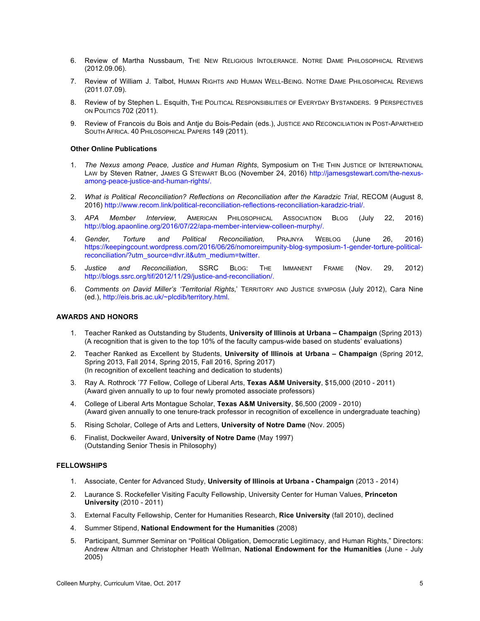- 6. Review of Martha Nussbaum, THE NEW RELIGIOUS INTOLERANCE. NOTRE DAME PHILOSOPHICAL REVIEWS (2012.09.06).
- 7. Review of William J. Talbot, HUMAN RIGHTS AND HUMAN WELL-BEING. NOTRE DAME PHILOSOPHICAL REVIEWS (2011.07.09).
- 8. Review of by Stephen L. Esquith, The POLITICAL RESPONSIBILITIES OF EVERYDAY BYSTANDERS. 9 PERSPECTIVES ON POLITICS 702 (2011).
- 9. Review of Francois du Bois and Antje du Bois-Pedain (eds.), JUSTICE AND RECONCILIATION IN POST-APARTHEID SOUTH AFRICA. 40 PHILOSOPHICAL PAPERS 149 (2011).

#### **Other Online Publications**

- 1. *The Nexus among Peace, Justice and Human Rights*, Symposium on THE THIN JUSTICE OF INTERNATIONAL LAW by Steven Ratner, JAMES G STEWART BLOG (November 24, 2016) http://jamesgstewart.com/the-nexusamong-peace-justice-and-human-rights/.
- 2. *What is Political Reconciliation? Reflections on Reconciliation after the Karadzic Trial*, RECOM (August 8, 2016) http://www.recom.link/political-reconciliation-reflections-reconciliation-karadzic-trial/.
- 3. *APA Member Interview,* AMERICAN PHILOSOPHICAL ASSOCIATION BLOG (July 22, 2016) http://blog.apaonline.org/2016/07/22/apa-member-interview-colleen-murphy/.
- 4. *Gender, Torture and Political Reconciliation,* PRAJNYA WEBLOG (June 26, 2016) https://keepingcount.wordpress.com/2016/06/26/nomoreimpunity-blog-symposium-1-gender-torture-politicalreconciliation/?utm\_source=dlvr.it&utm\_medium=twitter.
- 5. *Justice and Reconciliation*, SSRC BLOG: THE IMMANENT FRAME (Nov. 29, 2012) http://blogs.ssrc.org/tif/2012/11/29/justice-and-reconciliation/.
- 6. *Comments on David Miller's 'Territorial Rights*,' TERRITORY AND JUSTICE SYMPOSIA (July 2012), Cara Nine (ed.), http://eis.bris.ac.uk/~plcdib/territory.html.

#### **AWARDS AND HONORS**

- 1. Teacher Ranked as Outstanding by Students, **University of Illinois at Urbana – Champaign** (Spring 2013) (A recognition that is given to the top 10% of the faculty campus-wide based on students' evaluations)
- 2. Teacher Ranked as Excellent by Students, **University of Illinois at Urbana – Champaign** (Spring 2012, Spring 2013, Fall 2014, Spring 2015, Fall 2016, Spring 2017) (In recognition of excellent teaching and dedication to students)
- 3. Ray A. Rothrock '77 Fellow, College of Liberal Arts, **Texas A&M University**, \$15,000 (2010 2011) (Award given annually to up to four newly promoted associate professors)
- 4. College of Liberal Arts Montague Scholar, **Texas A&M University**, \$6,500 (2009 2010) (Award given annually to one tenure-track professor in recognition of excellence in undergraduate teaching)
- 5. Rising Scholar, College of Arts and Letters, **University of Notre Dame** (Nov. 2005)
- 6. Finalist, Dockweiler Award, **University of Notre Dame** (May 1997) (Outstanding Senior Thesis in Philosophy)

## **FELLOWSHIPS**

- 1. Associate, Center for Advanced Study, **University of Illinois at Urbana - Champaign** (2013 2014)
- 2. Laurance S. Rockefeller Visiting Faculty Fellowship, University Center for Human Values, **Princeton University** (2010 - 2011)
- 3. External Faculty Fellowship, Center for Humanities Research, **Rice University** (fall 2010), declined
- 4. Summer Stipend, **National Endowment for the Humanities** (2008)
- 5. Participant, Summer Seminar on "Political Obligation, Democratic Legitimacy, and Human Rights," Directors: Andrew Altman and Christopher Heath Wellman, **National Endowment for the Humanities** (June - July 2005)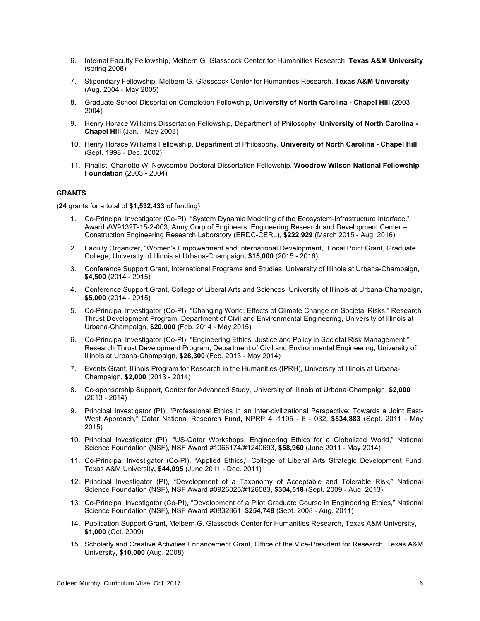- 6. Internal Faculty Fellowship, Melbern G. Glasscock Center for Humanities Research, **Texas A&M University** (spring 2008)
- 7. Stipendiary Fellowship, Melbern G. Glasscock Center for Humanities Research, **Texas A&M University** (Aug. 2004 - May 2005)
- 8. Graduate School Dissertation Completion Fellowship, **University of North Carolina - Chapel Hill** (2003 2004)
- 9. Henry Horace Williams Dissertation Fellowship, Department of Philosophy, **University of North Carolina - Chapel Hill** (Jan. - May 2003)
- 10. Henry Horace Williams Fellowship, Department of Philosophy, **University of North Carolina - Chapel Hill** (Sept. 1998 - Dec. 2002)
- 11. Finalist, Charlotte W. Newcombe Doctoral Dissertation Fellowship, **Woodrow Wilson National Fellowship Foundation** (2003 - 2004)

## **GRANTS**

(**24** grants for a total of **\$1,532,433** of funding)

- 1. Co-Principal Investigator (Co-PI), "System Dynamic Modeling of the Ecosystem-Infrastructure Interface," Award #W9132T-15-2-003, Army Corp of Engineers, Engineering Research and Development Center – Construction Engineering Research Laboratory (ERDC-CERL), **\$222,929** (March 2015 - Aug. 2016)
- 2. Faculty Organizer, "Women's Empowerment and International Development," Focal Point Grant, Graduate College, University of Illinois at Urbana-Champaign**, \$15,000** (2015 - 2016)
- 3. Conference Support Grant, International Programs and Studies, University of Illinois at Urbana-Champaign, **\$4,500** (2014 - 2015)
- 4. Conference Support Grant, College of Liberal Arts and Sciences, University of Illinois at Urbana-Champaign, **\$5,000** (2014 - 2015)
- 5. Co-Principal Investigator (Co-PI), "Changing World: Effects of Climate Change on Societal Risks," Research Thrust Development Program, Department of Civil and Environmental Engineering, University of Illinois at Urbana-Champaign, **\$20,000** (Feb. 2014 - May 2015)
- 6. Co-Principal Investigator (Co-PI), "Engineering Ethics, Justice and Policy in Societal Risk Management," Research Thrust Development Program, Department of Civil and Environmental Engineering, University of Illinois at Urbana-Champaign, **\$28,300** (Feb. 2013 - May 2014)
- 7. Events Grant, Illinois Program for Research in the Humanities (IPRH), University of Illinois at Urbana-Champaign, **\$2,000** (2013 - 2014)
- 8. Co-sponsorship Support, Center for Advanced Study, University of Illinois at Urbana-Champaign, **\$2,000** (2013 - 2014)
- 9. Principal Investigator (PI), "Professional Ethics in an Inter-civilizational Perspective: Towards a Joint East-West Approach," Qatar National Research Fund**,** NPRP 4 -1195 - 6 - 032, **\$534,883** (Sept. 2011 - May 2015)
- 10. Principal Investigator (PI), "US-Qatar Workshops: Engineering Ethics for a Globalized World," National Science Foundation (NSF), NSF Award #1066174/#1240693, **\$58,960** (June 2011 - May 2014)
- 11. Co-Principal Investigator (Co-PI), "Applied Ethics," College of Liberal Arts Strategic Development Fund, Texas A&M University**, \$44,095** (June 2011 - Dec. 2011)
- 12. Principal Investigator (PI), "Development of a Taxonomy of Acceptable and Tolerable Risk," National Science Foundation (NSF), NSF Award #0926025/#126083, **\$304,518** (Sept. 2009 - Aug. 2013)
- 13. Co-Principal Investigator (Co-PI), "Development of a Pilot Graduate Course in Engineering Ethics," National Science Foundation (NSF), NSF Award #0832861, **\$254,748** (Sept. 2008 - Aug. 2011)
- 14. Publication Support Grant, Melbern G. Glasscock Center for Humanities Research, Texas A&M University, **\$1,000** (Oct. 2009)
- 15. Scholarly and Creative Activities Enhancement Grant, Office of the Vice-President for Research, Texas A&M University, **\$10,000** (Aug. 2008)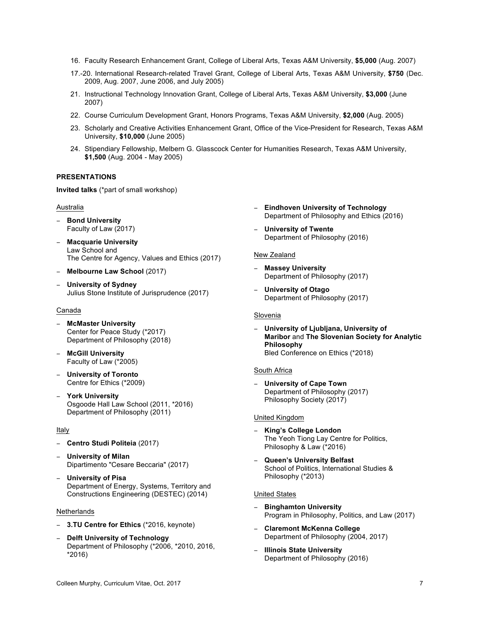- 16. Faculty Research Enhancement Grant, College of Liberal Arts, Texas A&M University, **\$5,000** (Aug. 2007)
- 17.-20. International Research-related Travel Grant, College of Liberal Arts, Texas A&M University, **\$750** (Dec. 2009, Aug. 2007, June 2006, and July 2005)
- 21. Instructional Technology Innovation Grant, College of Liberal Arts, Texas A&M University, **\$3,000** (June 2007)
- 22. Course Curriculum Development Grant, Honors Programs, Texas A&M University, **\$2,000** (Aug. 2005)
- 23. Scholarly and Creative Activities Enhancement Grant, Office of the Vice-President for Research, Texas A&M University, **\$10,000** (June 2005)
- 24. Stipendiary Fellowship, Melbern G. Glasscock Center for Humanities Research, Texas A&M University, **\$1,500** (Aug. 2004 - May 2005)

# **PRESENTATIONS**

**Invited talks** (\*part of small workshop)

# **Australia**

- − **Bond University** Faculty of Law (2017)
- − **Macquarie University** Law School and The Centre for Agency, Values and Ethics (2017)
- − **Melbourne Law School** (2017)
- − **University of Sydney** Julius Stone Institute of Jurisprudence (2017)

#### Canada

- − **McMaster University** Center for Peace Study (\*2017) Department of Philosophy (2018)
- − **McGill University** Faculty of Law (\*2005)
- − **University of Toronto** Centre for Ethics (\*2009)
- − **York University** Osgoode Hall Law School (2011, \*2016) Department of Philosophy (2011)

## Italy

- − **Centro Studi Politeia** (2017)
- − **University of Milan** Dipartimento "Cesare Beccaria" (2017)
- − **University of Pisa** Department of Energy, Systems, Territory and Constructions Engineering (DESTEC) (2014)

#### **Netherlands**

- − **3.TU Centre for Ethics** (\*2016, keynote)
- − **Delft University of Technology**  Department of Philosophy (\*2006, \*2010, 2016, \*2016)
- − **Eindhoven University of Technology** Department of Philosophy and Ethics (2016)
- − **University of Twente**  Department of Philosophy (2016)

#### New Zealand

- − **Massey University**  Department of Philosophy (2017)
- − **University of Otago** Department of Philosophy (2017)

# Slovenia

− **University of Ljubljana, University of Maribor** and **The Slovenian Society for Analytic Philosophy** Bled Conference on Ethics (\*2018)

#### South Africa

− **University of Cape Town** Department of Philosophy (2017) Philosophy Society (2017)

#### United Kingdom

- − **King's College London** The Yeoh Tiong Lay Centre for Politics, Philosophy & Law (\*2016)
- − **Queen's University Belfast**  School of Politics, International Studies & Philosophy (\*2013)

## United States

- − **Binghamton University**  Program in Philosophy, Politics, and Law (2017)
- − **Claremont McKenna College** Department of Philosophy (2004, 2017)
- − **Illinois State University** Department of Philosophy (2016)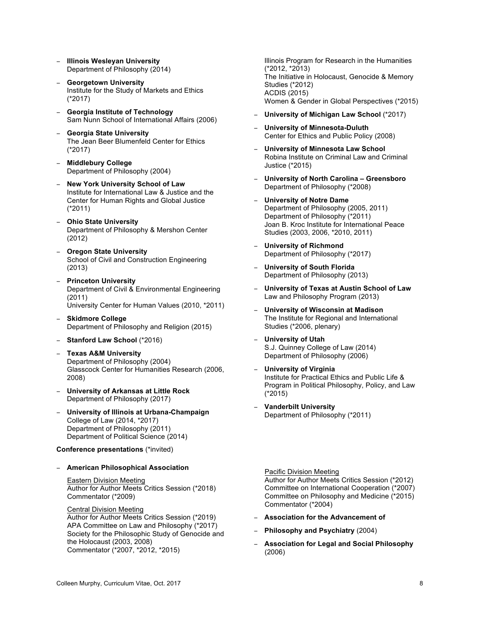- − **Illinois Wesleyan University**  Department of Philosophy (2014)
- − **Georgetown University**  Institute for the Study of Markets and Ethics (\*2017)
- − **Georgia Institute of Technology** Sam Nunn School of International Affairs (2006)
- − **Georgia State University** The Jean Beer Blumenfeld Center for Ethics (\*2017)
- − **Middlebury College** Department of Philosophy (2004)
- − **New York University School of Law**  Institute for International Law & Justice and the Center for Human Rights and Global Justice (\*2011)
- − **Ohio State University** Department of Philosophy & Mershon Center (2012)
- − **Oregon State University** School of Civil and Construction Engineering (2013)
- − **Princeton University** Department of Civil & Environmental Engineering (2011) University Center for Human Values (2010, \*2011)
- − **Skidmore College**  Department of Philosophy and Religion (2015)
- − **Stanford Law School** (\*2016)
- − **Texas A&M University** Department of Philosophy (2004) Glasscock Center for Humanities Research (2006, 2008)
- − **University of Arkansas at Little Rock** Department of Philosophy (2017)
- − **University of Illinois at Urbana-Champaign** College of Law (2014, \*2017) Department of Philosophy (2011) Department of Political Science (2014)

#### **Conference presentations** (\*invited)

− **American Philosophical Association**

# Eastern Division Meeting Author for Author Meets Critics Session (\*2018) Commentator (\*2009)

# Central Division Meeting

Author for Author Meets Critics Session (\*2019) APA Committee on Law and Philosophy (\*2017) Society for the Philosophic Study of Genocide and the Holocaust (2003, 2008) Commentator (\*2007, \*2012, \*2015)

Illinois Program for Research in the Humanities (\*2012, \*2013) The Initiative in Holocaust, Genocide & Memory Studies (\*2012) ACDIS (2015) Women & Gender in Global Perspectives (\*2015)

- − **University of Michigan Law School** (\*2017)
- − **University of Minnesota-Duluth** Center for Ethics and Public Policy (2008)
- − **University of Minnesota Law School** Robina Institute on Criminal Law and Criminal Justice (\*2015)
- − **University of North Carolina – Greensboro** Department of Philosophy (\*2008)
- − **University of Notre Dame** Department of Philosophy (2005, 2011) Department of Philosophy (\*2011) Joan B. Kroc Institute for International Peace Studies (2003, 2006, \*2010, 2011)
- − **University of Richmond** Department of Philosophy (\*2017)
- − **University of South Florida** Department of Philosophy (2013)
- − **University of Texas at Austin School of Law**  Law and Philosophy Program (2013)
- − **University of Wisconsin at Madison** The Institute for Regional and International Studies (\*2006, plenary)
- − **University of Utah** S.J. Quinney College of Law (2014) Department of Philosophy (2006)
- − **University of Virginia** Institute for Practical Ethics and Public Life & Program in Political Philosophy, Policy, and Law (\*2015)
- − **Vanderbilt University**  Department of Philosophy (\*2011)

# Pacific Division Meeting

Author for Author Meets Critics Session (\*2012) Committee on International Cooperation (\*2007) Committee on Philosophy and Medicine (\*2015) Commentator (\*2004)

- − **Association for the Advancement of**
- − **Philosophy and Psychiatry** (2004)
- − **Association for Legal and Social Philosophy** (2006)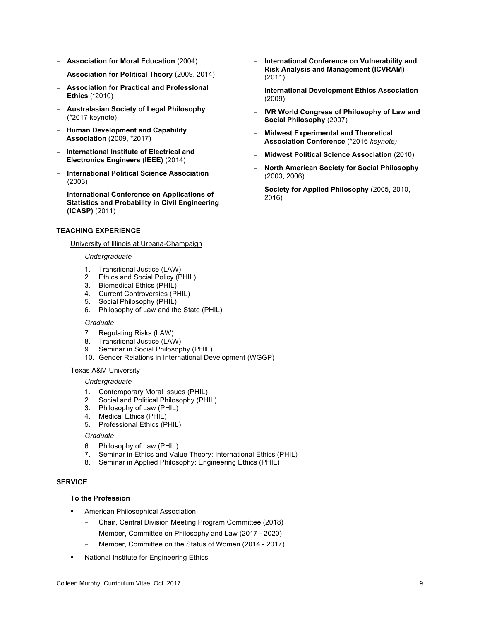- − **Association for Moral Education** (2004)
- − **Association for Political Theory** (2009, 2014)
- − **Association for Practical and Professional Ethics** (\*2010)
- − **Australasian Society of Legal Philosophy**  (\*2017 keynote)
- − **Human Development and Capability Association** (2009, \*2017)
- − **International Institute of Electrical and Electronics Engineers (IEEE)** (2014)
- − **International Political Science Association** (2003)
- − **International Conference on Applications of Statistics and Probability in Civil Engineering (ICASP)** (2011)

## **TEACHING EXPERIENCE**

#### University of Illinois at Urbana-Champaign

#### *Undergraduate*

- 1. Transitional Justice (LAW)
- 2. Ethics and Social Policy (PHIL)
- 3. Biomedical Ethics (PHIL)
- 4. Current Controversies (PHIL)
- 5. Social Philosophy (PHIL)
- 6. Philosophy of Law and the State (PHIL)

#### *Graduate*

- 7. Regulating Risks (LAW)
- 8. Transitional Justice (LAW)
- 9. Seminar in Social Philosophy (PHIL)
- 10. Gender Relations in International Development (WGGP)

#### Texas A&M University

#### *Undergraduate*

- 1. Contemporary Moral Issues (PHIL)
- 2. Social and Political Philosophy (PHIL)
- 3. Philosophy of Law (PHIL)
- 4. Medical Ethics (PHIL)
- 5. Professional Ethics (PHIL)

## *Graduate*

- 6. Philosophy of Law (PHIL)
- 7. Seminar in Ethics and Value Theory: International Ethics (PHIL)
- 8. Seminar in Applied Philosophy: Engineering Ethics (PHIL)

#### **SERVICE**

# **To the Profession**

- American Philosophical Association
	- − Chair, Central Division Meeting Program Committee (2018)
	- − Member, Committee on Philosophy and Law (2017 2020)
	- − Member, Committee on the Status of Women (2014 2017)
- National Institute for Engineering Ethics
- − **International Conference on Vulnerability and Risk Analysis and Management (ICVRAM)** (2011)
- − **International Development Ethics Association**  (2009)
- − **IVR World Congress of Philosophy of Law and Social Philosophy** (2007)
- − **Midwest Experimental and Theoretical Association Conference** (\*2016 *keynote)*
- − **Midwest Political Science Association** (2010)
- − **North American Society for Social Philosophy** (2003, 2006)
- − **Society for Applied Philosophy** (2005, 2010, 2016)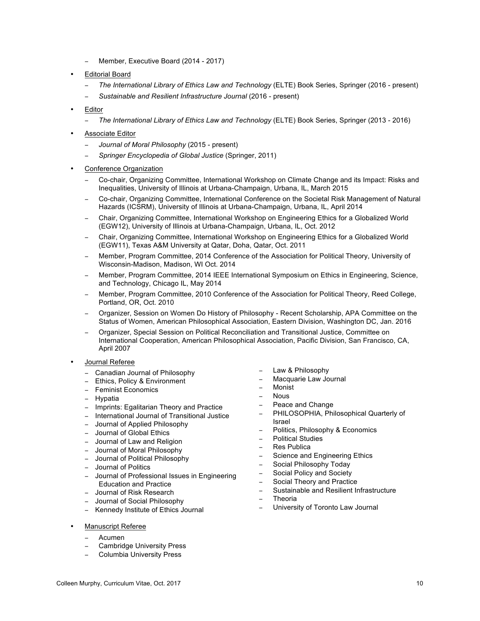- − Member, Executive Board (2014 2017)
- Editorial Board
	- − *The International Library of Ethics Law and Technology* (ELTE) Book Series, Springer (2016 present)
	- − *Sustainable and Resilient Infrastructure Journal* (2016 present)
- **Editor** 
	- − *The International Library of Ethics Law and Technology* (ELTE) Book Series, Springer (2013 2016)
- Associate Editor
	- − *Journal of Moral Philosophy* (2015 present)
	- − *Springer Encyclopedia of Global Justice* (Springer, 2011)
- Conference Organization
	- − Co-chair, Organizing Committee, International Workshop on Climate Change and its Impact: Risks and Inequalities, University of Illinois at Urbana-Champaign, Urbana, IL, March 2015
	- − Co-chair, Organizing Committee, International Conference on the Societal Risk Management of Natural Hazards (ICSRM), University of Illinois at Urbana-Champaign, Urbana, IL, April 2014
	- − Chair, Organizing Committee, International Workshop on Engineering Ethics for a Globalized World (EGW12), University of Illinois at Urbana-Champaign, Urbana, IL, Oct. 2012
	- − Chair, Organizing Committee, International Workshop on Engineering Ethics for a Globalized World (EGW11), Texas A&M University at Qatar, Doha, Qatar, Oct. 2011
	- − Member, Program Committee, 2014 Conference of the Association for Political Theory, University of Wisconsin-Madison, Madison, WI Oct. 2014
	- − Member, Program Committee, 2014 IEEE International Symposium on Ethics in Engineering, Science, and Technology, Chicago IL, May 2014
	- − Member, Program Committee, 2010 Conference of the Association for Political Theory, Reed College, Portland, OR, Oct. 2010
	- − Organizer, Session on Women Do History of Philosophy Recent Scholarship, APA Committee on the Status of Women, American Philosophical Association, Eastern Division, Washington DC, Jan. 2016
	- − Organizer, Special Session on Political Reconciliation and Transitional Justice, Committee on International Cooperation, American Philosophical Association, Pacific Division, San Francisco, CA, April 2007
- Journal Referee
	- − Canadian Journal of Philosophy
	- Ethics, Policy & Environment
	- − Feminist Economics
	- − Hypatia
	- − Imprints: Egalitarian Theory and Practice
	- − International Journal of Transitional Justice
	- − Journal of Applied Philosophy
	- − Journal of Global Ethics
	- − Journal of Law and Religion
	- − Journal of Moral Philosophy
	- − Journal of Political Philosophy
	- − Journal of Politics
	- − Journal of Professional Issues in Engineering Education and Practice
	- − Journal of Risk Research
	- − Journal of Social Philosophy
	- − Kennedy Institute of Ethics Journal
- Manuscript Referee
	- − Acumen
	- − Cambridge University Press
	- − Columbia University Press
- Law & Philosophy
- − Macquarie Law Journal
- − Monist
- − Nous
- − Peace and Change
- − PHILOSOPHIA, Philosophical Quarterly of Israel
- − Politics, Philosophy & Economics
- − Political Studies
- − Res Publica
- Science and Engineering Ethics
- − Social Philosophy Today
- − Social Policy and Society
- − Social Theory and Practice
- − Sustainable and Resilient Infrastructure
- − Theoria
- − University of Toronto Law Journal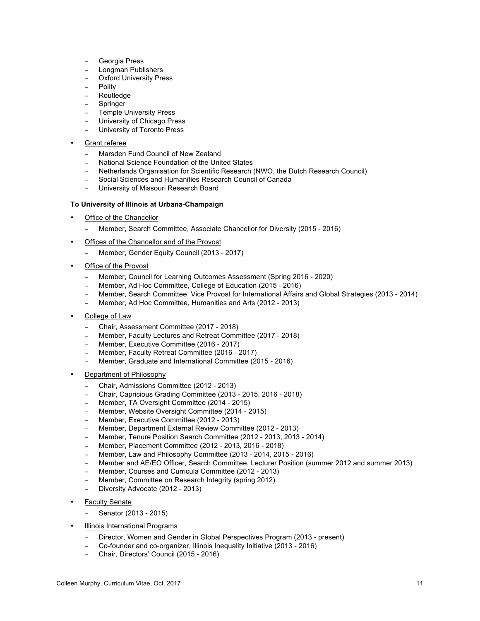- − Georgia Press
- − Longman Publishers
- Oxford University Press
- **Polity**
- − Routledge
- − Springer
- Temple University Press
- University of Chicago Press
- University of Toronto Press
- Grant referee
	- − Marsden Fund Council of New Zealand
	- − National Science Foundation of the United States
	- − Netherlands Organisation for Scientific Research (NWO, the Dutch Research Council)
	- − Social Sciences and Humanities Research Council of Canada
	- − University of Missouri Research Board

#### **To University of Illinois at Urbana-Champaign**

- Office of the Chancellor
	- − Member, Search Committee, Associate Chancellor for Diversity (2015 2016)
- Offices of the Chancellor and of the Provost
	- − Member, Gender Equity Council (2013 2017)
- Office of the Provost
	- − Member, Council for Learning Outcomes Assessment (Spring 2016 2020)
	- − Member, Ad Hoc Committee, College of Education (2015 2016)
	- − Member, Search Committee, Vice Provost for International Affairs and Global Strategies (2013 2014)
	- − Member, Ad Hoc Committee, Humanities and Arts (2012 2013)
- College of Law
	- − Chair, Assessment Committee (2017 2018)
	- − Member, Faculty Lectures and Retreat Committee (2017 2018)
	- − Member, Executive Committee (2016 2017)
	- − Member, Faculty Retreat Committee (2016 2017)
	- − Member, Graduate and International Committee (2015 2016)
- Department of Philosophy
	- − Chair, Admissions Committee (2012 2013)
	- − Chair, Capricious Grading Committee (2013 2015, 2016 2018)
	- − Member, TA Oversight Committee (2014 2015)
	- − Member, Website Oversight Committee (2014 2015)
	- − Member, Executive Committee (2012 2013)
	- − Member, Department External Review Committee (2012 2013)
	- − Member, Tenure Position Search Committee (2012 2013, 2013 2014)
	- − Member, Placement Committee (2012 2013, 2016 2018)
	- − Member, Law and Philosophy Committee (2013 2014, 2015 2016)
	- − Member and AE/EO Officer, Search Committee, Lecturer Position (summer 2012 and summer 2013)
	- − Member, Courses and Curricula Committee (2012 2013)
	- − Member, Committee on Research Integrity (spring 2012)
	- − Diversity Advocate (2012 2013)
- **Faculty Senate** 
	- − Senator (2013 2015)
- Illinois International Programs
	- − Director, Women and Gender in Global Perspectives Program (2013 present)
	- − Co-founder and co-organizer, Illinois Inequality Initiative (2013 2016)
	- − Chair, Directors' Council (2015 2016)